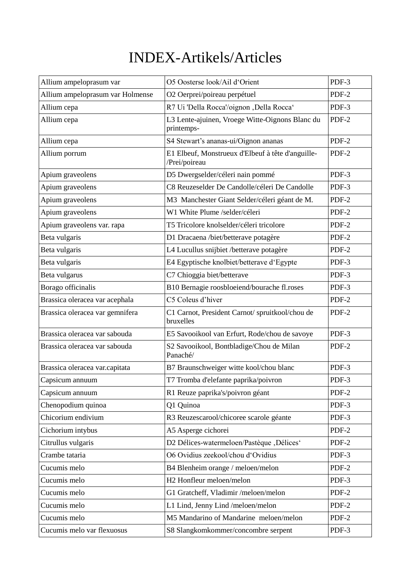## INDEX-Artikels/Articles

| Allium ampeloprasum var          | O5 Oosterse look/Ail d'Orient                                      | PDF-3 |
|----------------------------------|--------------------------------------------------------------------|-------|
| Allium ampeloprasum var Holmense | O2 Oerprei/poireau perpétuel                                       | PDF-2 |
| Allium cepa                      | R7 Ui 'Della Rocca'/oignon , Della Rocca'                          | PDF-3 |
| Allium cepa                      | L3 Lente-ajuinen, Vroege Witte-Oignons Blanc du<br>printemps-      | PDF-2 |
| Allium cepa                      | S4 Stewart's ananas-ui/Oignon ananas                               | PDF-2 |
| Allium porrum                    | E1 Elbeuf, Monstrueux d'Elbeuf à tête d'anguille-<br>/Prei/poireau | PDF-2 |
| Apium graveolens                 | D5 Dwergselder/céleri nain pommé                                   | PDF-3 |
| Apium graveolens                 | C8 Reuzeselder De Candolle/céleri De Candolle                      | PDF-3 |
| Apium graveolens                 | M3 Manchester Giant Selder/céleri géant de M.                      | PDF-2 |
| Apium graveolens                 | W1 White Plume /selder/céleri                                      | PDF-2 |
| Apium graveolens var. rapa       | T5 Tricolore knolselder/céleri tricolore                           | PDF-2 |
| Beta vulgaris                    | D1 Dracaena /biet/betterave potagère                               | PDF-2 |
| Beta vulgaris                    | L4 Lucullus snijbiet /betterave potagère                           | PDF-2 |
| Beta vulgaris                    | E4 Egyptische knolbiet/betterave d'Egypte                          | PDF-3 |
| Beta vulgarus                    | C7 Chioggia biet/betterave                                         | PDF-3 |
| Borago officinalis               | B10 Bernagie roosbloeiend/bourache fl.roses                        | PDF-3 |
| Brassica oleracea var acephala   | C5 Coleus d'hiver                                                  | PDF-2 |
| Brassica oleracea var gemnifera  | C1 Carnot, President Carnot/ spruitkool/chou de<br>bruxelles       | PDF-2 |
| Brassica oleracea var sabouda    | E5 Savooikool van Erfurt, Rode/chou de savoye                      | PDF-3 |
| Brassica oleracea var sabouda    | S2 Savooikool, Bontbladige/Chou de Milan<br>Panaché/               | PDF-2 |
| Brassica oleracea var.capitata   | B7 Braunschweiger witte kool/chou blanc                            | PDF-3 |
| Capsicum annuum                  | T7 Tromba d'elefante paprika/poivron                               | PDF-3 |
| Capsicum annuum                  | R1 Reuze paprika's/poivron géant                                   | PDF-2 |
| Chenopodium quinoa               | Q1 Quinoa                                                          | PDF-3 |
| Chicorium endivium               | R3 Reuzescarool/chicoree scarole géante                            | PDF-3 |
| Cichorium intybus                | A5 Asperge cichorei                                                | PDF-2 |
| Citrullus vulgaris               | D2 Délices-watermeloen/Pastèque, Délices'                          | PDF-2 |
| Crambe tataria                   | O6 Ovidius zeekool/chou d'Ovidius                                  | PDF-3 |
| Cucumis melo                     | B4 Blenheim orange / meloen/melon                                  | PDF-2 |
| Cucumis melo                     | H2 Honfleur meloen/melon                                           | PDF-3 |
| Cucumis melo                     | G1 Gratcheff, Vladimir /meloen/melon                               | PDF-2 |
| Cucumis melo                     | L1 Lind, Jenny Lind /meloen/melon                                  | PDF-2 |
| Cucumis melo                     | M5 Mandarino of Mandarine meloen/melon                             | PDF-2 |
| Cucumis melo var flexuosus       | S8 Slangkomkommer/concombre serpent                                | PDF-3 |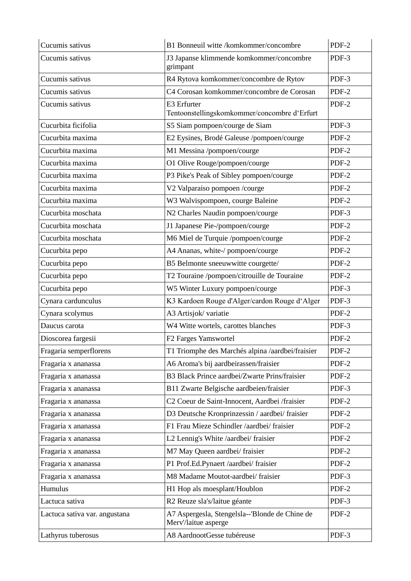| Cucumis sativus               | B1 Bonneuil witte /komkommer/concombre                                 | PDF-2 |
|-------------------------------|------------------------------------------------------------------------|-------|
| Cucumis sativus               | J3 Japanse klimmende komkommer/concombre<br>grimpant                   | PDF-3 |
| Cucumis sativus               | R4 Rytova komkommer/concombre de Rytov                                 | PDF-3 |
| Cucumis sativus               | C4 Corosan komkommer/concombre de Corosan                              | PDF-2 |
| Cucumis sativus               | E3 Erfurter<br>Tentoonstellingskomkommer/concombre d'Erfurt            | PDF-2 |
| Cucurbita ficifolia           | S5 Siam pompoen/courge de Siam                                         | PDF-3 |
| Cucurbita maxima              | E2 Eysines, Brodé Galeuse /pompoen/courge                              | PDF-2 |
| Cucurbita maxima              | M1 Messina /pompoen/courge                                             | PDF-2 |
| Cucurbita maxima              | O1 Olive Rouge/pompoen/courge                                          | PDF-2 |
| Cucurbita maxima              | P3 Pike's Peak of Sibley pompoen/courge                                | PDF-2 |
| Cucurbita maxima              | V2 Valparaiso pompoen /courge                                          | PDF-2 |
| Cucurbita maxima              | W3 Walvispompoen, courge Baleine                                       | PDF-2 |
| Cucurbita moschata            | N2 Charles Naudin pompoen/courge                                       | PDF-3 |
| Cucurbita moschata            | J1 Japanese Pie-/pompoen/courge                                        | PDF-2 |
| Cucurbita moschata            | M6 Miel de Turquie /pompoen/courge                                     | PDF-2 |
| Cucurbita pepo                | A4 Ananas, white-/ pompoen/courge                                      | PDF-2 |
| Cucurbita pepo                | B5 Belmonte sneeuwwitte courgette/                                     | PDF-2 |
| Cucurbita pepo                | T2 Touraine /pompoen/citrouille de Touraine                            | PDF-2 |
| Cucurbita pepo                | W5 Winter Luxury pompoen/courge                                        | PDF-3 |
| Cynara cardunculus            | K3 Kardoen Rouge d'Alger/cardon Rouge d'Alger                          | PDF-3 |
| Cynara scolymus               | A3 Artisjok/ variatie                                                  | PDF-2 |
| Daucus carota                 | W4 Witte wortels, carottes blanches                                    | PDF-3 |
| Dioscorea fargesii            | F2 Farges Yamswortel                                                   | PDF-2 |
| Fragaria semperflorens        | T1 Triomphe des Marchés alpina /aardbei/fraisier                       | PDF-2 |
| Fragaria x ananassa           | A6 Aroma's bij aardbeirassen/fraisier                                  | PDF-2 |
| Fragaria x ananassa           | B3 Black Prince aardbei/Zwarte Prins/fraisier                          | PDF-2 |
| Fragaria x ananassa           | B11 Zwarte Belgische aardbeien/fraisier                                | PDF-3 |
| Fragaria x ananassa           | C2 Coeur de Saint-Innocent, Aardbei /fraisier                          | PDF-2 |
| Fragaria x ananassa           | D3 Deutsche Kronprinzessin / aardbei/ fraisier                         | PDF-2 |
| Fragaria x ananassa           | F1 Frau Mieze Schindler /aardbei/ fraisier                             | PDF-2 |
| Fragaria x ananassa           | L2 Lennig's White /aardbei/ fraisier                                   | PDF-2 |
| Fragaria x ananassa           | M7 May Queen aardbei/ fraisier                                         | PDF-2 |
| Fragaria x ananassa           | P1 Prof.Ed.Pynaert /aardbei/ fraisier                                  | PDF-2 |
| Fragaria x ananassa           | M8 Madame Moutot-aardbei/ fraisier                                     | PDF-3 |
| Humulus                       | H1 Hop als moesplant/Houblon                                           | PDF-2 |
| Lactuca sativa                | R2 Reuze sla's/laitue géante                                           | PDF-3 |
| Lactuca sativa var. angustana | A7 Aspergesla, Stengelsla--'Blonde de Chine de<br>Merv'/laitue asperge | PDF-2 |
| Lathyrus tuberosus            | A8 AardnootGesse tubéreuse                                             | PDF-3 |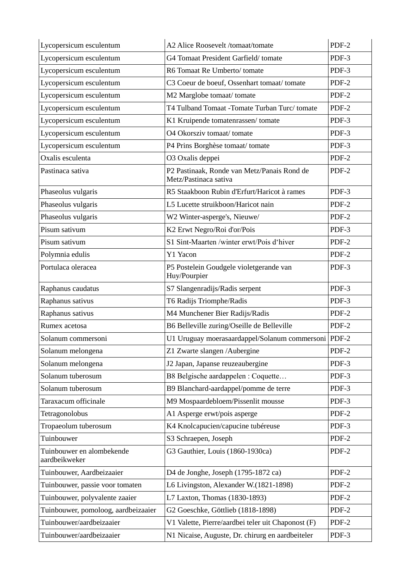| Lycopersicum esculentum                    | A2 Alice Roosevelt /tomaat/tomate                                    | PDF-2 |
|--------------------------------------------|----------------------------------------------------------------------|-------|
| Lycopersicum esculentum                    | G4 Tomaat President Garfield/tomate                                  | PDF-3 |
| Lycopersicum esculentum                    | R6 Tomaat Re Umberto/tomate                                          | PDF-3 |
| Lycopersicum esculentum                    | C3 Coeur de boeuf, Ossenhart tomaat/tomate                           | PDF-2 |
| Lycopersicum esculentum                    | M2 Marglobe tomaat/tomate                                            | PDF-2 |
| Lycopersicum esculentum                    | T4 Tulband Tomaat - Tomate Turban Turc/tomate                        | PDF-2 |
| Lycopersicum esculentum                    | K1 Kruipende tomatenrassen/tomate                                    | PDF-3 |
| Lycopersicum esculentum                    | O4 Okorsziv tomaat/tomate                                            | PDF-3 |
| Lycopersicum esculentum                    | P4 Prins Borghèse tomaat/tomate                                      | PDF-3 |
| Oxalis esculenta                           | O3 Oxalis deppei                                                     | PDF-2 |
| Pastinaca sativa                           | P2 Pastinaak, Ronde van Metz/Panais Rond de<br>Metz/Pastinaca sativa | PDF-2 |
| Phaseolus vulgaris                         | R5 Staakboon Rubin d'Erfurt/Haricot à rames                          | PDF-3 |
| Phaseolus vulgaris                         | L5 Lucette struikboon/Haricot nain                                   | PDF-2 |
| Phaseolus vulgaris                         | W2 Winter-asperge's, Nieuwe/                                         | PDF-2 |
| Pisum sativum                              | K2 Erwt Negro/Roi d'or/Pois                                          | PDF-3 |
| Pisum sativum                              | S1 Sint-Maarten /winter erwt/Pois d'hiver                            | PDF-2 |
| Polymnia edulis                            | Y1 Yacon                                                             | PDF-2 |
| Portulaca oleracea                         | P5 Postelein Goudgele violetgerande van<br>Huy/Pourpier              | PDF-3 |
| Raphanus caudatus                          | S7 Slangenradijs/Radis serpent                                       | PDF-3 |
| Raphanus sativus                           | T6 Radijs Triomphe/Radis                                             | PDF-3 |
| Raphanus sativus                           | M4 Munchener Bier Radijs/Radis                                       | PDF-2 |
| Rumex acetosa                              | B6 Belleville zuring/Oseille de Belleville                           | PDF-2 |
| Solanum commersoni                         | U1 Uruguay moerasaardappel/Solanum commersoni                        | PDF-2 |
| Solanum melongena                          | Z1 Zwarte slangen /Aubergine                                         | PDF-2 |
| Solanum melongena                          | J2 Japan, Japanse reuzeaubergine                                     | PDF-3 |
| Solanum tuberosum                          | B8 Belgische aardappelen : Coquette                                  | PDF-3 |
| Solanum tuberosum                          | B9 Blanchard-aardappel/pomme de terre                                | PDF-3 |
| Taraxacum officinale                       | M9 Mospaardebloem/Pissenlit mousse                                   | PDF-3 |
| Tetragonolobus                             | A1 Asperge erwt/pois asperge                                         | PDF-2 |
| Tropaeolum tuberosum                       | K4 Knolcapucien/capucine tubéreuse                                   | PDF-3 |
| Tuinbouwer                                 | S3 Schraepen, Joseph                                                 | PDF-2 |
| Tuinbouwer en alombekende<br>aardbeikweker | G3 Gauthier, Louis (1860-1930ca)                                     | PDF-2 |
| Tuinbouwer, Aardbeizaaier                  | D4 de Jonghe, Joseph (1795-1872 ca)                                  | PDF-2 |
| Tuinbouwer, passie voor tomaten            | L6 Livingston, Alexander W.(1821-1898)                               | PDF-2 |
| Tuinbouwer, polyvalente zaaier             | L7 Laxton, Thomas (1830-1893)                                        | PDF-2 |
| Tuinbouwer, pomoloog, aardbeizaaier        | G2 Goeschke, Göttlieb (1818-1898)                                    | PDF-2 |
| Tuinbouwer/aardbeizaaier                   | V1 Valette, Pierre/aardbei teler uit Chaponost (F)                   | PDF-2 |
| Tuinbouwer/aardbeizaaier                   | N1 Nicaise, Auguste, Dr. chirurg en aardbeiteler                     | PDF-3 |